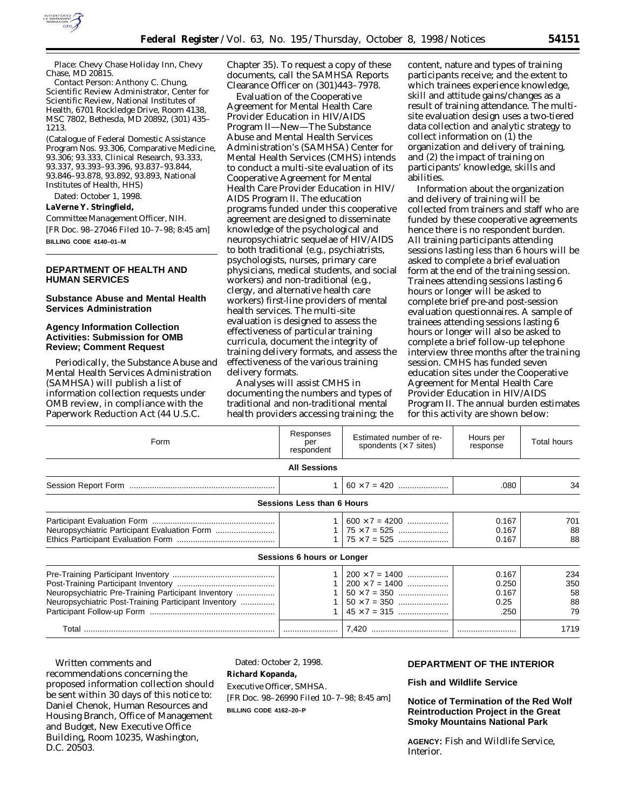

*Place:* Chevy Chase Holiday Inn, Chevy Chase, MD 20815.

*Contact Person:* Anthony C. Chung, Scientific Review Administrator, Center for Scientific Review, National Institutes of Health, 6701 Rockledge Drive, Room 4138, MSC 7802, Bethesda, MD 20892, (301) 435– 1213.

(Catalogue of Federal Domestic Assistance Program Nos. 93.306, Comparative Medicine, 93.306; 93.333, Clinical Research, 93.333, 93.337, 93.393–93.396, 93.837–93.844, 93.846–93.878, 93.892, 93.893, National Institutes of Health, HHS)

Dated: October 1, 1998.

## **LaVerne Y. Stringfield,**

*Committee Management Officer, NIH.* [FR Doc. 98–27046 Filed 10–7–98; 8:45 am] **BILLING CODE 4140–01–M**

# **DEPARTMENT OF HEALTH AND HUMAN SERVICES**

#### **Substance Abuse and Mental Health Services Administration**

# **Agency Information Collection Activities: Submission for OMB Review; Comment Request**

Periodically, the Substance Abuse and Mental Health Services Administration (SAMHSA) will publish a list of information collection requests under OMB review, in compliance with the Paperwork Reduction Act (44 U.S.C.

Chapter 35). To request a copy of these documents, call the SAMHSA Reports Clearance Officer on (301)443–7978.

Evaluation of the Cooperative Agreement for Mental Health Care Provider Education in HIV/AIDS Program II—New—The Substance Abuse and Mental Health Services Administration's (SAMHSA) Center for Mental Health Services (CMHS) intends to conduct a multi-site evaluation of its Cooperative Agreement for Mental Health Care Provider Education in HIV/ AIDS Program II. The education programs funded under this cooperative agreement are designed to disseminate knowledge of the psychological and neuropsychiatric sequelae of HIV/AIDS to both traditional (e.g., psychiatrists, psychologists, nurses, primary care physicians, medical students, and social workers) and non-traditional (e.g., clergy, and alternative health care workers) first-line providers of mental health services. The multi-site evaluation is designed to assess the effectiveness of particular training curricula, document the integrity of training delivery formats, and assess the effectiveness of the various training delivery formats.

Analyses will assist CMHS in documenting the numbers and types of traditional and non-traditional mental health providers accessing training; the content, nature and types of training participants receive; and the extent to which trainees experience knowledge, skill and attitude gains/changes as a result of training attendance. The multisite evaluation design uses a two-tiered data collection and analytic strategy to collect information on (1) the organization and delivery of training, and (2) the impact of training on participants' knowledge, skills and abilities.

Information about the organization and delivery of training will be collected from trainers and staff who are funded by these cooperative agreements hence there is no respondent burden. All training participants attending sessions lasting less than 6 hours will be asked to complete a brief evaluation form at the end of the training session. Trainees attending sessions lasting 6 hours or longer will be asked to complete brief pre-and post-session evaluation questionnaires. A sample of trainees attending sessions lasting 6 hours or longer will also be asked to complete a brief follow-up telephone interview three months after the training session. CMHS has funded seven education sites under the Cooperative Agreement for Mental Health Care Provider Education in HIV/AIDS Program II. The annual burden estimates for this activity are shown below:

| Form                                                                                                        | Responses<br>per<br>respondent | Estimated number of re-<br>spondents $(x 7$ sites)                                                                  | Hours per<br>response                   | <b>Total hours</b>           |
|-------------------------------------------------------------------------------------------------------------|--------------------------------|---------------------------------------------------------------------------------------------------------------------|-----------------------------------------|------------------------------|
|                                                                                                             | <b>All Sessions</b>            |                                                                                                                     |                                         |                              |
|                                                                                                             | 1                              |                                                                                                                     | .080                                    | 34                           |
| <b>Sessions Less than 6 Hours</b>                                                                           |                                |                                                                                                                     |                                         |                              |
| Neuropsychiatric Participant Evaluation Form                                                                |                                | $600 \times 7 = 4200$                                                                                               | 0.167<br>0.167<br>0.167                 | 701<br>88<br>88              |
| Sessions 6 hours or Longer                                                                                  |                                |                                                                                                                     |                                         |                              |
| Neuropsychiatric Pre-Training Participant Inventory<br>Neuropsychiatric Post-Training Participant Inventory |                                | $200 \times 7 = 1400$<br>$200 \times 7 = 1400$<br>$50 \times 7 = 350$<br>$50 \times 7 = 350$<br>$45 \times 7 = 315$ | 0.167<br>0.250<br>0.167<br>0.25<br>.250 | 234<br>350<br>58<br>88<br>79 |
|                                                                                                             |                                |                                                                                                                     |                                         | 1719                         |

Written comments and recommendations concerning the proposed information collection should be sent within 30 days of this notice to: Daniel Chenok, Human Resources and Housing Branch, Office of Management and Budget, New Executive Office Building, Room 10235, Washington, D.C. 20503.

Dated: October 2, 1998.

**Richard Kopanda,**

*Executive Officer, SMHSA.* [FR Doc. 98–26990 Filed 10–7–98; 8:45 am] **BILLING CODE 4162–20–P**

#### **DEPARTMENT OF THE INTERIOR**

#### **Fish and Wildlife Service**

**Notice of Termination of the Red Wolf Reintroduction Project in the Great Smoky Mountains National Park**

**AGENCY:** Fish and Wildlife Service, **Interior**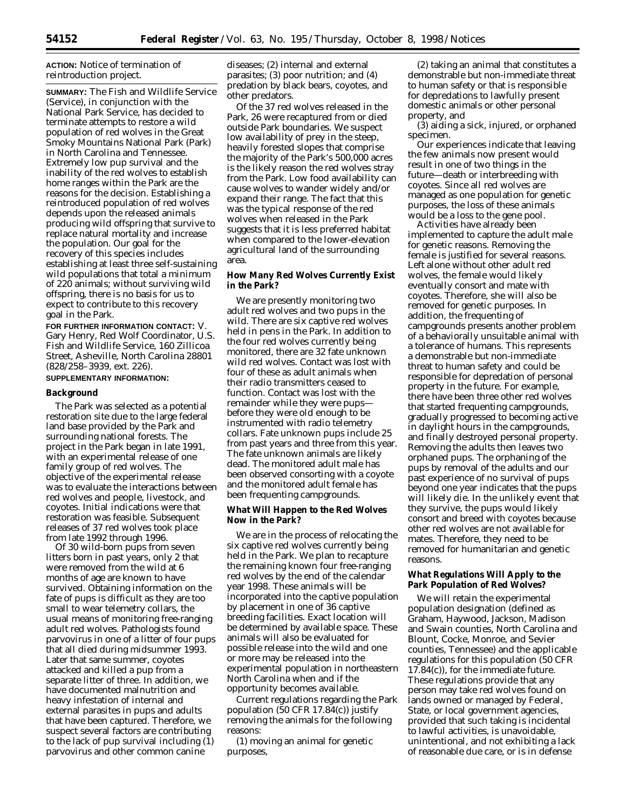## **ACTION:** Notice of termination of reintroduction project.

**SUMMARY:** The Fish and Wildlife Service (Service), in conjunction with the National Park Service, has decided to terminate attempts to restore a wild population of red wolves in the Great Smoky Mountains National Park (Park) in North Carolina and Tennessee. Extremely low pup survival and the inability of the red wolves to establish home ranges within the Park are the reasons for the decision. Establishing a reintroduced population of red wolves depends upon the released animals producing wild offspring that survive to replace natural mortality and increase the population. Our goal for the recovery of this species includes establishing at least three self-sustaining wild populations that total a minimum of 220 animals; without surviving wild offspring, there is no basis for us to expect to contribute to this recovery goal in the Park.

**FOR FURTHER INFORMATION CONTACT:** V. Gary Henry, Red Wolf Coordinator, U.S. Fish and Wildlife Service, 160 Zillicoa Street, Asheville, North Carolina 28801 (828/258–3939, ext. 226).

# **SUPPLEMENTARY INFORMATION:**

## **Background**

The Park was selected as a potential restoration site due to the large federal land base provided by the Park and surrounding national forests. The project in the Park began in late 1991, with an experimental release of one family group of red wolves. The objective of the experimental release was to evaluate the interactions between red wolves and people, livestock, and coyotes. Initial indications were that restoration was feasible. Subsequent releases of 37 red wolves took place from late 1992 through 1996.

Of 30 wild-born pups from seven litters born in past years, only 2 that were removed from the wild at 6 months of age are known to have survived. Obtaining information on the fate of pups is difficult as they are too small to wear telemetry collars, the usual means of monitoring free-ranging adult red wolves. Pathologists found parvovirus in one of a litter of four pups that all died during midsummer 1993. Later that same summer, coyotes attacked and killed a pup from a separate litter of three. In addition, we have documented malnutrition and heavy infestation of internal and external parasites in pups and adults that have been captured. Therefore, we suspect several factors are contributing to the lack of pup survival including (1) parvovirus and other common canine

diseases; (2) internal and external parasites; (3) poor nutrition; and (4) predation by black bears, coyotes, and other predators.

Of the 37 red wolves released in the Park, 26 were recaptured from or died outside Park boundaries. We suspect low availability of prey in the steep, heavily forested slopes that comprise the majority of the Park's 500,000 acres is the likely reason the red wolves stray from the Park. Low food availability can cause wolves to wander widely and/or expand their range. The fact that this was the typical response of the red wolves when released in the Park suggests that it is less preferred habitat when compared to the lower-elevation agricultural land of the surrounding area.

## **How Many Red Wolves Currently Exist in the Park?**

We are presently monitoring two adult red wolves and two pups in the wild. There are six captive red wolves held in pens in the Park. In addition to the four red wolves currently being monitored, there are 32 fate unknown wild red wolves. Contact was lost with four of these as adult animals when their radio transmitters ceased to function. Contact was lost with the remainder while they were pups before they were old enough to be instrumented with radio telemetry collars. Fate unknown pups include 25 from past years and three from this year. The fate unknown animals are likely dead. The monitored adult male has been observed consorting with a coyote and the monitored adult female has been frequenting campgrounds.

## **What Will Happen to the Red Wolves Now in the Park?**

We are in the process of relocating the six captive red wolves currently being held in the Park. We plan to recapture the remaining known four free-ranging red wolves by the end of the calendar year 1998. These animals will be incorporated into the captive population by placement in one of 36 captive breeding facilities. Exact location will be determined by available space. These animals will also be evaluated for possible release into the wild and one or more may be released into the experimental population in northeastern North Carolina when and if the opportunity becomes available.

Current regulations regarding the Park population (50 CFR 17.84(c)) justify removing the animals for the following reasons:

(1) moving an animal for genetic purposes,

(2) taking an animal that constitutes a demonstrable but non-immediate threat to human safety or that is responsible for depredations to lawfully present domestic animals or other personal property, and

(3) aiding a sick, injured, or orphaned specimen.

Our experiences indicate that leaving the few animals now present would result in one of two things in the future—death or interbreeding with coyotes. Since all red wolves are managed as one population for genetic purposes, the loss of these animals would be a loss to the gene pool.

Activities have already been implemented to capture the adult male for genetic reasons. Removing the female is justified for several reasons. Left alone without other adult red wolves, the female would likely eventually consort and mate with coyotes. Therefore, she will also be removed for genetic purposes. In addition, the frequenting of campgrounds presents another problem of a behaviorally unsuitable animal with a tolerance of humans. This represents a demonstrable but non-immediate threat to human safety and could be responsible for depredation of personal property in the future. For example, there have been three other red wolves that started frequenting campgrounds, gradually progressed to becoming active in daylight hours in the campgrounds, and finally destroyed personal property. Removing the adults then leaves two orphaned pups. The orphaning of the pups by removal of the adults and our past experience of no survival of pups beyond one year indicates that the pups will likely die. In the unlikely event that they survive, the pups would likely consort and breed with coyotes because other red wolves are not available for mates. Therefore, they need to be removed for humanitarian and genetic reasons.

# **What Regulations Will Apply to the Park Population of Red Wolves?**

We will retain the experimental population designation (defined as Graham, Haywood, Jackson, Madison and Swain counties, North Carolina and Blount, Cocke, Monroe, and Sevier counties, Tennessee) and the applicable regulations for this population (50 CFR 17.84(c)), for the immediate future. These regulations provide that any person may take red wolves found on lands owned or managed by Federal, State, or local government agencies, provided that such taking is incidental to lawful activities, is unavoidable, unintentional, and not exhibiting a lack of reasonable due care, or is in defense